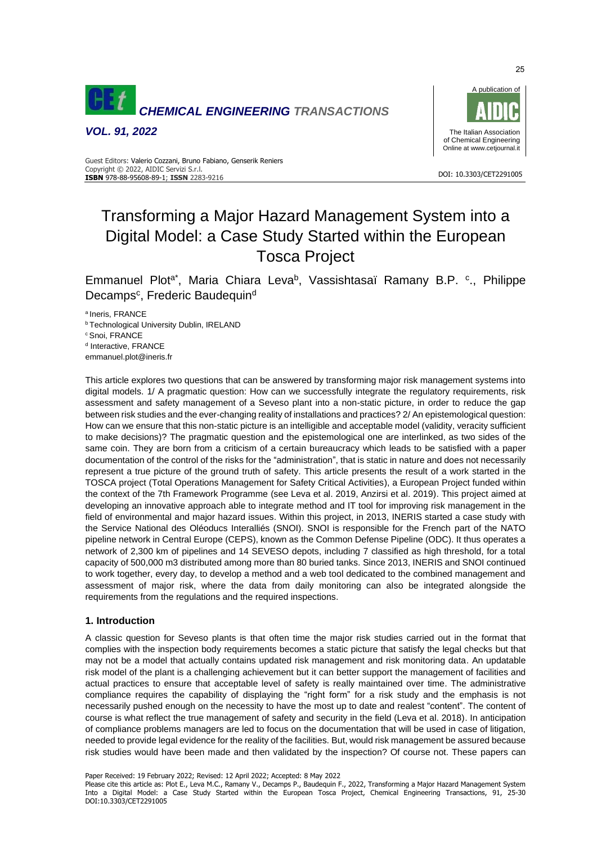

*VOL. 91, 2022*



#### DOI: 10.3303/CET2291005 **ISBN** 978-88-95608-89-1; **ISSN** 2283-9216 Guest Editors: Valerio Cozzani, Bruno Fabiano, Genserik Reniers Copyright © 2022, AIDIC Servizi S.r.l.

# Transforming a Major Hazard Management System into a Digital Model: a Case Study Started within the European Tosca Project

Emmanuel Plot<sup>a\*</sup>, Maria Chiara Leva<sup>b</sup>, Vassishtasaï Ramany B.P. <sup>c</sup>., Philippe Decamps<sup>c</sup>, Frederic Baudequind

a Ineris, FRANCE

**b Technological University Dublin, IRELAND** 

<sup>c</sup> Snoi, FRANCE

<sup>d</sup> Interactive, FRANCE

emmanuel.plot@ineris.fr

This article explores two questions that can be answered by transforming major risk management systems into digital models. 1/ A pragmatic question: How can we successfully integrate the regulatory requirements, risk assessment and safety management of a Seveso plant into a non-static picture, in order to reduce the gap between risk studies and the ever-changing reality of installations and practices? 2/ An epistemological question: How can we ensure that this non-static picture is an intelligible and acceptable model (validity, veracity sufficient to make decisions)? The pragmatic question and the epistemological one are interlinked, as two sides of the same coin. They are born from a criticism of a certain bureaucracy which leads to be satisfied with a paper documentation of the control of the risks for the "administration", that is static in nature and does not necessarily represent a true picture of the ground truth of safety. This article presents the result of a work started in the TOSCA project (Total Operations Management for Safety Critical Activities), a European Project funded within the context of the 7th Framework Programme (see Leva et al. 2019, Anzirsi et al. 2019). This project aimed at developing an innovative approach able to integrate method and IT tool for improving risk management in the field of environmental and major hazard issues. Within this project, in 2013, INERIS started a case study with the Service National des Oléoducs Interalliés (SNOI). SNOI is responsible for the French part of the NATO pipeline network in Central Europe (CEPS), known as the Common Defense Pipeline (ODC). It thus operates a network of 2,300 km of pipelines and 14 SEVESO depots, including 7 classified as high threshold, for a total capacity of 500,000 m3 distributed among more than 80 buried tanks. Since 2013, INERIS and SNOI continued to work together, every day, to develop a method and a web tool dedicated to the combined management and assessment of major risk, where the data from daily monitoring can also be integrated alongside the requirements from the regulations and the required inspections.

# **1. Introduction**

A classic question for Seveso plants is that often time the major risk studies carried out in the format that complies with the inspection body requirements becomes a static picture that satisfy the legal checks but that may not be a model that actually contains updated risk management and risk monitoring data. An updatable risk model of the plant is a challenging achievement but it can better support the management of facilities and actual practices to ensure that acceptable level of safety is really maintained over time. The administrative compliance requires the capability of displaying the "right form" for a risk study and the emphasis is not necessarily pushed enough on the necessity to have the most up to date and realest "content". The content of course is what reflect the true management of safety and security in the field (Leva et al. 2018). In anticipation of compliance problems managers are led to focus on the documentation that will be used in case of litigation, needed to provide legal evidence for the reality of the facilities. But, would risk management be assured because risk studies would have been made and then validated by the inspection? Of course not. These papers can

Paper Received: 19 February 2022; Revised: 12 April 2022; Accepted: 8 May 2022

Please cite this article as: Plot E., Leva M.C., Ramany V., Decamps P., Baudequin F., 2022, Transforming a Major Hazard Management System Into a Digital Model: a Case Study Started within the European Tosca Project, Chemical Engineering Transactions, 91, 25-30 DOI:10.3303/CET2291005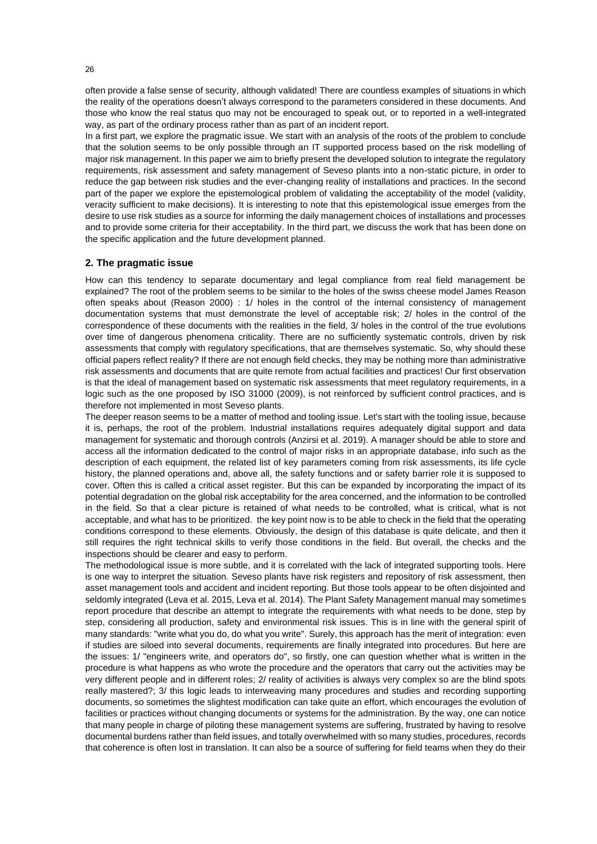often provide a false sense of security, although validated! There are countless examples of situations in which the reality of the operations doesn't always correspond to the parameters considered in these documents. And those who know the real status quo may not be encouraged to speak out, or to reported in a well-integrated way, as part of the ordinary process rather than as part of an incident report.

In a first part, we explore the pragmatic issue. We start with an analysis of the roots of the problem to conclude that the solution seems to be only possible through an IT supported process based on the risk modelling of major risk management. In this paper we aim to briefly present the developed solution to integrate the regulatory requirements, risk assessment and safety management of Seveso plants into a non-static picture, in order to reduce the gap between risk studies and the ever-changing reality of installations and practices. In the second part of the paper we explore the epistemological problem of validating the acceptability of the model (validity, veracity sufficient to make decisions). It is interesting to note that this epistemological issue emerges from the desire to use risk studies as a source for informing the daily management choices of installations and processes and to provide some criteria for their acceptability. In the third part, we discuss the work that has been done on the specific application and the future development planned.

### **2. The pragmatic issue**

How can this tendency to separate documentary and legal compliance from real field management be explained? The root of the problem seems to be similar to the holes of the swiss cheese model James Reason often speaks about (Reason 2000) : 1/ holes in the control of the internal consistency of management documentation systems that must demonstrate the level of acceptable risk; 2/ holes in the control of the correspondence of these documents with the realities in the field, 3/ holes in the control of the true evolutions over time of dangerous phenomena criticality. There are no sufficiently systematic controls, driven by risk assessments that comply with regulatory specifications, that are themselves systematic. So, why should these official papers reflect reality? If there are not enough field checks, they may be nothing more than administrative risk assessments and documents that are quite remote from actual facilities and practices! Our first observation is that the ideal of management based on systematic risk assessments that meet regulatory requirements, in a logic such as the one proposed by ISO 31000 (2009), is not reinforced by sufficient control practices, and is therefore not implemented in most Seveso plants.

The deeper reason seems to be a matter of method and tooling issue. Let's start with the tooling issue, because it is, perhaps, the root of the problem. Industrial installations requires adequately digital support and data management for systematic and thorough controls (Anzirsi et al. 2019). A manager should be able to store and access all the information dedicated to the control of major risks in an appropriate database, info such as the description of each equipment, the related list of key parameters coming from risk assessments, its life cycle history, the planned operations and, above all, the safety functions and or safety barrier role it is supposed to cover. Often this is called a critical asset register. But this can be expanded by incorporating the impact of its potential degradation on the global risk acceptability for the area concerned, and the information to be controlled in the field. So that a clear picture is retained of what needs to be controlled, what is critical, what is not acceptable, and what has to be prioritized. the key point now is to be able to check in the field that the operating conditions correspond to these elements. Obviously, the design of this database is quite delicate, and then it still requires the right technical skills to verify those conditions in the field. But overall, the checks and the inspections should be clearer and easy to perform.

The methodological issue is more subtle, and it is correlated with the lack of integrated supporting tools. Here is one way to interpret the situation. Seveso plants have risk registers and repository of risk assessment, then asset management tools and accident and incident reporting. But those tools appear to be often disjointed and seldomly integrated (Leva et al. 2015, Leva et al. 2014). The Plant Safety Management manual may sometimes report procedure that describe an attempt to integrate the requirements with what needs to be done, step by step, considering all production, safety and environmental risk issues. This is in line with the general spirit of many standards: "write what you do, do what you write". Surely, this approach has the merit of integration: even if studies are siloed into several documents, requirements are finally integrated into procedures. But here are the issues: 1/ "engineers write, and operators do", so firstly, one can question whether what is written in the procedure is what happens as who wrote the procedure and the operators that carry out the activities may be very different people and in different roles; 2/ reality of activities is always very complex so are the blind spots really mastered?; 3/ this logic leads to interweaving many procedures and studies and recording supporting documents, so sometimes the slightest modification can take quite an effort, which encourages the evolution of facilities or practices without changing documents or systems for the administration. By the way, one can notice that many people in charge of piloting these management systems are suffering, frustrated by having to resolve documental burdens rather than field issues, and totally overwhelmed with so many studies, procedures, records that coherence is often lost in translation. It can also be a source of suffering for field teams when they do their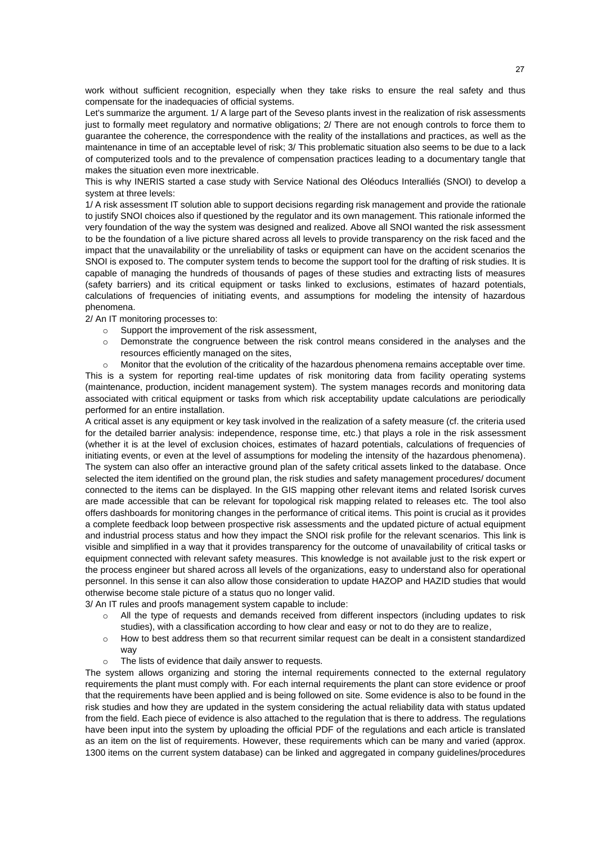work without sufficient recognition, especially when they take risks to ensure the real safety and thus compensate for the inadequacies of official systems.

Let's summarize the argument. 1/ A large part of the Seveso plants invest in the realization of risk assessments just to formally meet regulatory and normative obligations; 2/ There are not enough controls to force them to guarantee the coherence, the correspondence with the reality of the installations and practices, as well as the maintenance in time of an acceptable level of risk; 3/ This problematic situation also seems to be due to a lack of computerized tools and to the prevalence of compensation practices leading to a documentary tangle that makes the situation even more inextricable.

This is why INERIS started a case study with Service National des Oléoducs Interalliés (SNOI) to develop a system at three levels:

1/ A risk assessment IT solution able to support decisions regarding risk management and provide the rationale to justify SNOI choices also if questioned by the regulator and its own management. This rationale informed the very foundation of the way the system was designed and realized. Above all SNOI wanted the risk assessment to be the foundation of a live picture shared across all levels to provide transparency on the risk faced and the impact that the unavailability or the unreliability of tasks or equipment can have on the accident scenarios the SNOI is exposed to. The computer system tends to become the support tool for the drafting of risk studies. It is capable of managing the hundreds of thousands of pages of these studies and extracting lists of measures (safety barriers) and its critical equipment or tasks linked to exclusions, estimates of hazard potentials, calculations of frequencies of initiating events, and assumptions for modeling the intensity of hazardous phenomena.

2/ An IT monitoring processes to:

- o Support the improvement of the risk assessment,
- o Demonstrate the congruence between the risk control means considered in the analyses and the resources efficiently managed on the sites,
- o Monitor that the evolution of the criticality of the hazardous phenomena remains acceptable over time. This is a system for reporting real-time updates of risk monitoring data from facility operating systems (maintenance, production, incident management system). The system manages records and monitoring data

associated with critical equipment or tasks from which risk acceptability update calculations are periodically performed for an entire installation. A critical asset is any equipment or key task involved in the realization of a safety measure (cf. the criteria used

for the detailed barrier analysis: independence, response time, etc.) that plays a role in the risk assessment (whether it is at the level of exclusion choices, estimates of hazard potentials, calculations of frequencies of initiating events, or even at the level of assumptions for modeling the intensity of the hazardous phenomena). The system can also offer an interactive ground plan of the safety critical assets linked to the database. Once selected the item identified on the ground plan, the risk studies and safety management procedures/ document connected to the items can be displayed. In the GIS mapping other relevant items and related Isorisk curves are made accessible that can be relevant for topological risk mapping related to releases etc. The tool also offers dashboards for monitoring changes in the performance of critical items. This point is crucial as it provides a complete feedback loop between prospective risk assessments and the updated picture of actual equipment and industrial process status and how they impact the SNOI risk profile for the relevant scenarios. This link is visible and simplified in a way that it provides transparency for the outcome of unavailability of critical tasks or equipment connected with relevant safety measures. This knowledge is not available just to the risk expert or the process engineer but shared across all levels of the organizations, easy to understand also for operational personnel. In this sense it can also allow those consideration to update HAZOP and HAZID studies that would otherwise become stale picture of a status quo no longer valid.

3/ An IT rules and proofs management system capable to include:

- All the type of requests and demands received from different inspectors (including updates to risk studies), with a classification according to how clear and easy or not to do they are to realize,
- o How to best address them so that recurrent similar request can be dealt in a consistent standardized way
- o The lists of evidence that daily answer to requests.

The system allows organizing and storing the internal requirements connected to the external regulatory requirements the plant must comply with. For each internal requirements the plant can store evidence or proof that the requirements have been applied and is being followed on site. Some evidence is also to be found in the risk studies and how they are updated in the system considering the actual reliability data with status updated from the field. Each piece of evidence is also attached to the regulation that is there to address. The regulations have been input into the system by uploading the official PDF of the regulations and each article is translated as an item on the list of requirements. However, these requirements which can be many and varied (approx. 1300 items on the current system database) can be linked and aggregated in company guidelines/procedures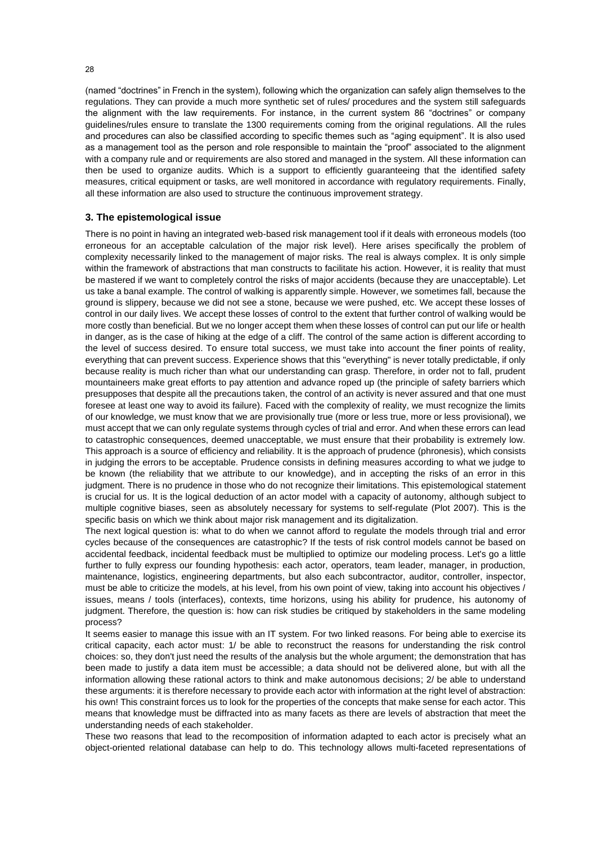(named "doctrines" in French in the system), following which the organization can safely align themselves to the regulations. They can provide a much more synthetic set of rules/ procedures and the system still safeguards the alignment with the law requirements. For instance, in the current system 86 "doctrines" or company guidelines/rules ensure to translate the 1300 requirements coming from the original regulations. All the rules and procedures can also be classified according to specific themes such as "aging equipment". It is also used as a management tool as the person and role responsible to maintain the "proof" associated to the alignment with a company rule and or requirements are also stored and managed in the system. All these information can then be used to organize audits. Which is a support to efficiently guaranteeing that the identified safety measures, critical equipment or tasks, are well monitored in accordance with regulatory requirements. Finally, all these information are also used to structure the continuous improvement strategy.

# **3. The epistemological issue**

There is no point in having an integrated web-based risk management tool if it deals with erroneous models (too erroneous for an acceptable calculation of the major risk level). Here arises specifically the problem of complexity necessarily linked to the management of major risks. The real is always complex. It is only simple within the framework of abstractions that man constructs to facilitate his action. However, it is reality that must be mastered if we want to completely control the risks of major accidents (because they are unacceptable). Let us take a banal example. The control of walking is apparently simple. However, we sometimes fall, because the ground is slippery, because we did not see a stone, because we were pushed, etc. We accept these losses of control in our daily lives. We accept these losses of control to the extent that further control of walking would be more costly than beneficial. But we no longer accept them when these losses of control can put our life or health in danger, as is the case of hiking at the edge of a cliff. The control of the same action is different according to the level of success desired. To ensure total success, we must take into account the finer points of reality, everything that can prevent success. Experience shows that this "everything" is never totally predictable, if only because reality is much richer than what our understanding can grasp. Therefore, in order not to fall, prudent mountaineers make great efforts to pay attention and advance roped up (the principle of safety barriers which presupposes that despite all the precautions taken, the control of an activity is never assured and that one must foresee at least one way to avoid its failure). Faced with the complexity of reality, we must recognize the limits of our knowledge, we must know that we are provisionally true (more or less true, more or less provisional), we must accept that we can only regulate systems through cycles of trial and error. And when these errors can lead to catastrophic consequences, deemed unacceptable, we must ensure that their probability is extremely low. This approach is a source of efficiency and reliability. It is the approach of prudence (phronesis), which consists in judging the errors to be acceptable. Prudence consists in defining measures according to what we judge to be known (the reliability that we attribute to our knowledge), and in accepting the risks of an error in this judgment. There is no prudence in those who do not recognize their limitations. This epistemological statement is crucial for us. It is the logical deduction of an actor model with a capacity of autonomy, although subject to multiple cognitive biases, seen as absolutely necessary for systems to self-regulate (Plot 2007). This is the specific basis on which we think about major risk management and its digitalization.

The next logical question is: what to do when we cannot afford to regulate the models through trial and error cycles because of the consequences are catastrophic? If the tests of risk control models cannot be based on accidental feedback, incidental feedback must be multiplied to optimize our modeling process. Let's go a little further to fully express our founding hypothesis: each actor, operators, team leader, manager, in production, maintenance, logistics, engineering departments, but also each subcontractor, auditor, controller, inspector, must be able to criticize the models, at his level, from his own point of view, taking into account his objectives / issues, means / tools (interfaces), contexts, time horizons, using his ability for prudence, his autonomy of judgment. Therefore, the question is: how can risk studies be critiqued by stakeholders in the same modeling process?

It seems easier to manage this issue with an IT system. For two linked reasons. For being able to exercise its critical capacity, each actor must: 1/ be able to reconstruct the reasons for understanding the risk control choices: so, they don't just need the results of the analysis but the whole argument; the demonstration that has been made to justify a data item must be accessible; a data should not be delivered alone, but with all the information allowing these rational actors to think and make autonomous decisions; 2/ be able to understand these arguments: it is therefore necessary to provide each actor with information at the right level of abstraction: his own! This constraint forces us to look for the properties of the concepts that make sense for each actor. This means that knowledge must be diffracted into as many facets as there are levels of abstraction that meet the understanding needs of each stakeholder.

These two reasons that lead to the recomposition of information adapted to each actor is precisely what an object-oriented relational database can help to do. This technology allows multi-faceted representations of

28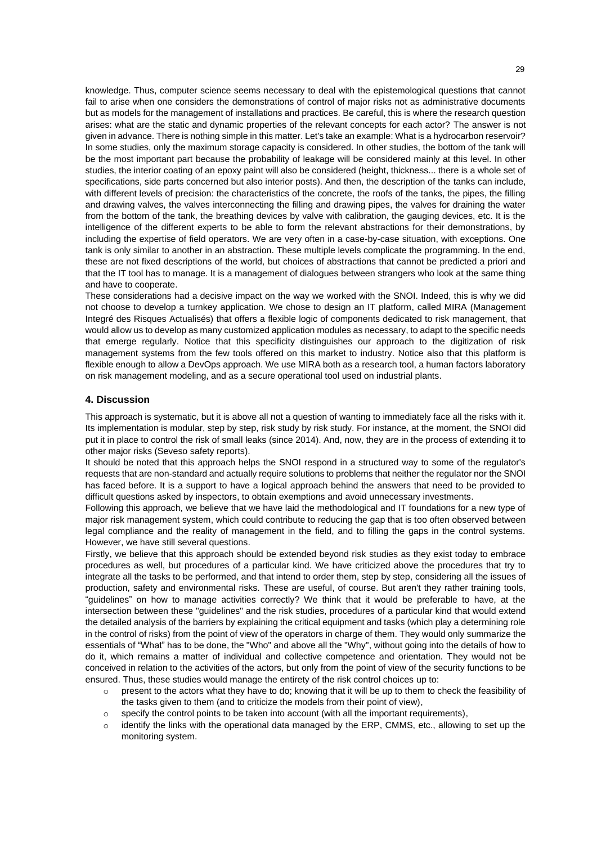knowledge. Thus, computer science seems necessary to deal with the epistemological questions that cannot fail to arise when one considers the demonstrations of control of major risks not as administrative documents but as models for the management of installations and practices. Be careful, this is where the research question arises: what are the static and dynamic properties of the relevant concepts for each actor? The answer is not given in advance. There is nothing simple in this matter. Let's take an example: What is a hydrocarbon reservoir? In some studies, only the maximum storage capacity is considered. In other studies, the bottom of the tank will be the most important part because the probability of leakage will be considered mainly at this level. In other studies, the interior coating of an epoxy paint will also be considered (height, thickness... there is a whole set of specifications, side parts concerned but also interior posts). And then, the description of the tanks can include, with different levels of precision: the characteristics of the concrete, the roofs of the tanks, the pipes, the filling and drawing valves, the valves interconnecting the filling and drawing pipes, the valves for draining the water from the bottom of the tank, the breathing devices by valve with calibration, the gauging devices, etc. It is the intelligence of the different experts to be able to form the relevant abstractions for their demonstrations, by including the expertise of field operators. We are very often in a case-by-case situation, with exceptions. One tank is only similar to another in an abstraction. These multiple levels complicate the programming. In the end, these are not fixed descriptions of the world, but choices of abstractions that cannot be predicted a priori and that the IT tool has to manage. It is a management of dialogues between strangers who look at the same thing and have to cooperate.

These considerations had a decisive impact on the way we worked with the SNOI. Indeed, this is why we did not choose to develop a turnkey application. We chose to design an IT platform, called MIRA (Management Integré des Risques Actualisés) that offers a flexible logic of components dedicated to risk management, that would allow us to develop as many customized application modules as necessary, to adapt to the specific needs that emerge regularly. Notice that this specificity distinguishes our approach to the digitization of risk management systems from the few tools offered on this market to industry. Notice also that this platform is flexible enough to allow a DevOps approach. We use MIRA both as a research tool, a human factors laboratory on risk management modeling, and as a secure operational tool used on industrial plants.

## **4. Discussion**

This approach is systematic, but it is above all not a question of wanting to immediately face all the risks with it. Its implementation is modular, step by step, risk study by risk study. For instance, at the moment, the SNOI did put it in place to control the risk of small leaks (since 2014). And, now, they are in the process of extending it to other major risks (Seveso safety reports).

It should be noted that this approach helps the SNOI respond in a structured way to some of the regulator's requests that are non-standard and actually require solutions to problems that neither the regulator nor the SNOI has faced before. It is a support to have a logical approach behind the answers that need to be provided to difficult questions asked by inspectors, to obtain exemptions and avoid unnecessary investments.

Following this approach, we believe that we have laid the methodological and IT foundations for a new type of major risk management system, which could contribute to reducing the gap that is too often observed between legal compliance and the reality of management in the field, and to filling the gaps in the control systems. However, we have still several questions.

Firstly, we believe that this approach should be extended beyond risk studies as they exist today to embrace procedures as well, but procedures of a particular kind. We have criticized above the procedures that try to integrate all the tasks to be performed, and that intend to order them, step by step, considering all the issues of production, safety and environmental risks. These are useful, of course. But aren't they rather training tools, "guidelines" on how to manage activities correctly? We think that it would be preferable to have, at the intersection between these "guidelines" and the risk studies, procedures of a particular kind that would extend the detailed analysis of the barriers by explaining the critical equipment and tasks (which play a determining role in the control of risks) from the point of view of the operators in charge of them. They would only summarize the essentials of "What" has to be done, the "Who" and above all the "Why", without going into the details of how to do it, which remains a matter of individual and collective competence and orientation. They would not be conceived in relation to the activities of the actors, but only from the point of view of the security functions to be ensured. Thus, these studies would manage the entirety of the risk control choices up to:

- $\circ$  present to the actors what they have to do; knowing that it will be up to them to check the feasibility of the tasks given to them (and to criticize the models from their point of view),
- o specify the control points to be taken into account (with all the important requirements),
- identify the links with the operational data managed by the ERP, CMMS, etc., allowing to set up the monitoring system.